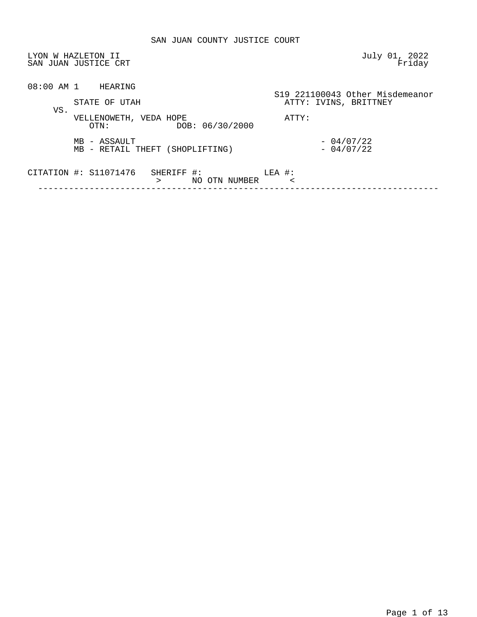|     | LYON W HAZLETON II<br>SAN JUAN JUSTICE CRT                | July 01, 2022<br>Friday         |
|-----|-----------------------------------------------------------|---------------------------------|
|     | 08:00 AM 1 HEARING                                        | S19 221100043 Other Misdemeanor |
| VS. | STATE OF UTAH                                             | ATTY: IVINS, BRITTNEY           |
|     | VELLENOWETH, VEDA HOPE<br>DOB: 06/30/2000<br>OTN:         | ATTY:                           |
|     | MB - ASSAULT<br>MB - RETAIL THEFT (SHOPLIFTING)           | $-04/07/22$<br>$-04/07/22$      |
|     | CITATION #: S11071476<br>SHERIFF #:<br>NO OTN NUMBER<br>⋗ | LEA #:<br>$\,<\,$               |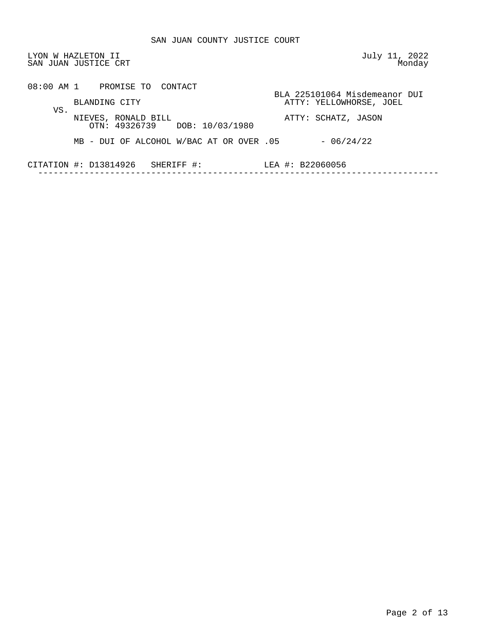| LYON W HAZLETON II<br>SAN JUAN JUSTICE CRT |                                                      | July 11, 2022<br>Monday                                  |
|--------------------------------------------|------------------------------------------------------|----------------------------------------------------------|
|                                            | 08:00 AM 1 PROMISE TO CONTACT<br>BLANDING CITY       | BLA 225101064 Misdemeanor DUI<br>ATTY: YELLOWHORSE, JOEL |
| VS.                                        | NIEVES, RONALD BILL<br>OTN: 49326739 DOB: 10/03/1980 | ATTY: SCHATZ, JASON                                      |
|                                            | MB - DUI OF ALCOHOL W/BAC AT OR OVER .05             | $-06/24/22$                                              |
|                                            | CITATION #: D13814926<br>SHERIFF #:                  | LEA #: B22060056                                         |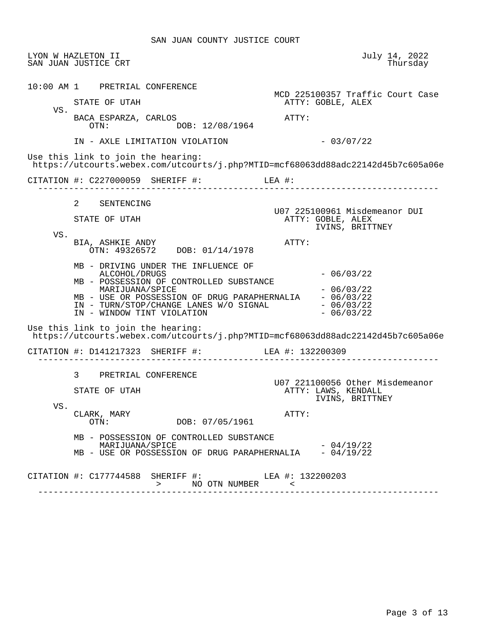SAN JUAN COUNTY JUSTICE COURT

|     | LYON W HAZLETON II<br>SAN JUAN JUSTICE CRT                                                                                                                                                                                                                                                                                                                                                 | July 14, 2022<br>Thursday                                                 |
|-----|--------------------------------------------------------------------------------------------------------------------------------------------------------------------------------------------------------------------------------------------------------------------------------------------------------------------------------------------------------------------------------------------|---------------------------------------------------------------------------|
| VS. | 10:00 AM 1 PRETRIAL CONFERENCE<br>STATE OF UTAH<br>BACA ESPARZA, CARLOS                                                                                                                                                                                                                                                                                                                    | MCD 225100357 Traffic Court Case<br>ATTY: GOBLE, ALEX<br>ATTY:            |
|     | DOB: 12/08/1964<br>OTN:<br>IN - AXLE LIMITATION VIOLATION                                                                                                                                                                                                                                                                                                                                  | $-03/07/22$                                                               |
|     | Use this link to join the hearing:<br>https://utcourts.webex.com/utcourts/j.php?MTID=mcf68063dd88adc22142d45b7c605a06e                                                                                                                                                                                                                                                                     |                                                                           |
|     | CITATION #: $C227000059$ SHERIFF #: LEA #:                                                                                                                                                                                                                                                                                                                                                 |                                                                           |
|     | 2 SENTENCING<br>STATE OF UTAH                                                                                                                                                                                                                                                                                                                                                              | U07 225100961 Misdemeanor DUI<br>ATTY: GOBLE, ALEX<br>IVINS, BRITTNEY     |
| VS. | BIA, ASHKIE ANDY<br>OTN: 49326572 DOB: 01/14/1978                                                                                                                                                                                                                                                                                                                                          | ATTY:                                                                     |
|     | MB - DRIVING UNDER THE INFLUENCE OF<br>ALCOHOL/DRUGS<br>MB - POSSESSION OF CONTROLLED SUBSTANCE<br>MARIJUANA/SPICE<br>$\begin{tabular}{lllllll} \bf MB & - \bf USE & \bf OR & \bf POSSESSION & \bf OF & \bf DRUG & \bf PARAPHERNALIA & -\bf 06/03/22 \\ \bf IN & - \bf TURN/STOP/CHANGE & \bf LANES & \bf W/O & \bf SIGNAL & -\bf 06/03/22 \\ \end{tabular}$<br>IN - WINDOW TINT VIOLATION | $-06/03/22$<br>$-06/03/22$<br>$-06/03/22$                                 |
|     | Use this link to join the hearing:<br>https://utcourts.webex.com/utcourts/j.php?MTID=mcf68063dd88adc22142d45b7c605a06e                                                                                                                                                                                                                                                                     |                                                                           |
|     | CITATION #: D141217323 SHERIFF #: LEA #: 132200309                                                                                                                                                                                                                                                                                                                                         |                                                                           |
|     | 3 PRETRIAL CONFERENCE<br>STATE OF UTAH                                                                                                                                                                                                                                                                                                                                                     | U07 221100056 Other Misdemeanor<br>ATTY: LAWS, KENDALL<br>IVINS, BRITTNEY |
| VS. | CLARK, MARY<br>DOB: 07/05/1961<br>OTN:                                                                                                                                                                                                                                                                                                                                                     | ATTY:                                                                     |
|     | MB - POSSESSION OF CONTROLLED SUBSTANCE<br>MARIJUANA/SPICE<br>MB - USE OR POSSESSION OF DRUG PARAPHERNALIA - 04/19/22                                                                                                                                                                                                                                                                      | $-04/19/22$                                                               |
|     |                                                                                                                                                                                                                                                                                                                                                                                            |                                                                           |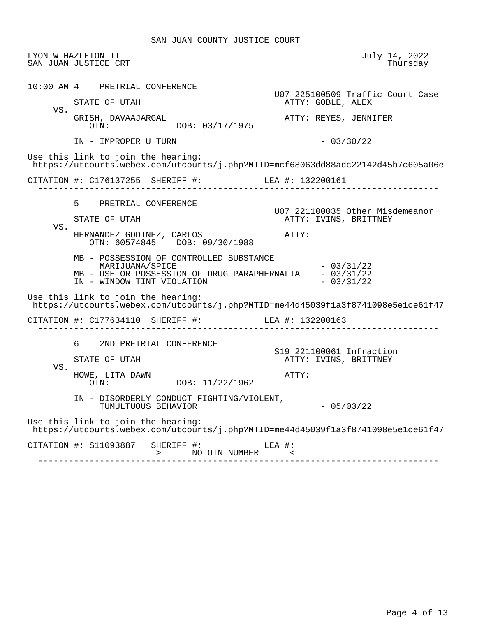SAN JUAN COUNTY JUSTICE COURT

 LYON W HAZLETON II July 14, 2022 SAN JUAN JUSTICE CRT 10:00 AM 4 PRETRIAL CONFERENCE U07 225100509 Traffic Court Case ATTY: GOBLE, ALEX VS. GRISH, DAVAAJARGAL ATTY: REYES, JENNIFER DOB: 03/17/1975 IN - IMPROPER U TURN - 03/30/22 Use this link to join the hearing: https://utcourts.webex.com/utcourts/j.php?MTID=mcf68063dd88adc22142d45b7c605a06e CITATION #: C176137255 SHERIFF #: LEA #: 132200161 ------------------------------------------------------------------------------ 5 PRETRIAL CONFERENCE U07 221100035 Other Misdemeanor ATTY: IVINS, BRITTNEY VS. HERNANDEZ GODINEZ, CARLOS **ATTY:**  OTN: 60574845 DOB: 09/30/1988 MB - POSSESSION OF CONTROLLED SUBSTANCE  $MARIJUANA/SPICE$  - 03/31/22 MB - USE OR POSSESSION OF DRUG PARAPHERNALIA - 03/31/22<br>IN - WINDOW TINT VIOLATION - 03/31/22 IN - WINDOW TINT VIOLATION Use this link to join the hearing: https://utcourts.webex.com/utcourts/j.php?MTID=me44d45039f1a3f8741098e5e1ce61f47 CITATION #: C177634110 SHERIFF #: LEA #: 132200163 ------------------------------------------------------------------------------ 6 2ND PRETRIAL CONFERENCE S19 221100061 Infraction ATTY: IVINS, BRITTNEY VS. HOWE, LITA DAWN  $OTN:$   $OTN:$   $DOB: 11/22/1962$ DOB: 11/22/1962 IN - DISORDERLY CONDUCT FIGHTING/VIOLENT, TUMULTUOUS BEHAVIOR - 05/03/22 Use this link to join the hearing: https://utcourts.webex.com/utcourts/j.php?MTID=me44d45039f1a3f8741098e5e1ce61f47 CITATION #: S11093887 SHERIFF #: LEA #: > NO OTN NUMBER <

------------------------------------------------------------------------------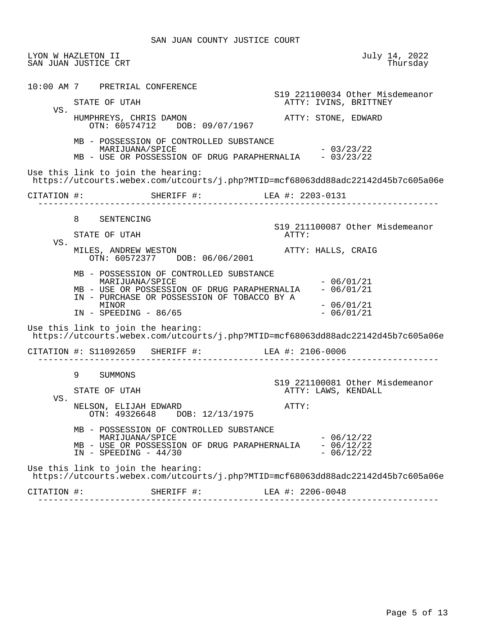|             | LYON W HAZLETON II<br>SAN JUAN JUSTICE CRT                                                                                                                                                    | July 14, 2022<br>Thursday                                |
|-------------|-----------------------------------------------------------------------------------------------------------------------------------------------------------------------------------------------|----------------------------------------------------------|
|             | 10:00 AM 7 PRETRIAL CONFERENCE                                                                                                                                                                | S19 221100034 Other Misdemeanor                          |
| VS.         | STATE OF UTAH                                                                                                                                                                                 | ATTY: IVINS, BRITTNEY                                    |
|             | HUMPHREYS, CHRIS DAMON<br>OTN: 60574712 DOB: 09/07/1967                                                                                                                                       | ATTY: STONE, EDWARD                                      |
|             | MB - POSSESSION OF CONTROLLED SUBSTANCE<br>MARIJUANA/SPICE<br>MB - USE OR POSSESSION OF DRUG PARAPHERNALIA - 03/23/22                                                                         | $-03/23/22$                                              |
|             | Use this link to join the hearing:<br>https://utcourts.webex.com/utcourts/j.php?MTID=mcf68063dd88adc22142d45b7c605a06e                                                                        |                                                          |
| CITATION #: | SHERIFF #: LEA #: 2203-0131                                                                                                                                                                   |                                                          |
|             |                                                                                                                                                                                               |                                                          |
|             | 8<br>SENTENCING<br>STATE OF UTAH                                                                                                                                                              | S19 211100087 Other Misdemeanor<br>ATTY:                 |
| VS.         | MILES, ANDREW WESTON<br>OTN: 60572377 DOB: 06/06/2001                                                                                                                                         | ATTY: HALLS, CRAIG                                       |
|             | MB - POSSESSION OF CONTROLLED SUBSTANCE<br>MARIJUANA/SPICE<br>MB - USE OR POSSESSION OF DRUG PARAPHERNALIA<br>IN - PURCHASE OR POSSESSION OF TOBACCO BY A<br>MINOR<br>$IN$ - SPEEDING - 86/65 | $-06/01/21$<br>$-06/01/21$<br>$-06/01/21$<br>$-06/01/21$ |
|             | Use this link to join the hearing:<br>https://utcourts.webex.com/utcourts/j.php?MTID=mcf68063dd88adc22142d45b7c605a06e                                                                        |                                                          |
|             | CITATION #: S11092659 SHERIFF #: LEA #: 2106-0006<br>_______________________________                                                                                                          |                                                          |
|             | $9 \quad \Box$<br>SUMMONS                                                                                                                                                                     | S19 221100081 Other Misdemeanor                          |
|             | STATE OF UTAH                                                                                                                                                                                 | ATTY: LAWS, KENDALL                                      |
| VS.         | NELSON, ELIJAH EDWARD<br>OTN: 49326648 DOB: 12/13/1975                                                                                                                                        | ATTY:                                                    |
|             | MB - POSSESSION OF CONTROLLED SUBSTANCE<br>MARIJUANA/SPICE<br>MB - USE OR POSSESSION OF DRUG PARAPHERNALIA<br>$IN - SPEEDING - 44/30$                                                         | $-06/12/22$<br>$-06/12/22$<br>$-06/12/22$                |
|             | Use this link to join the hearing:<br>https://utcourts.webex.com/utcourts/j.php?MTID=mcf68063dd88adc22142d45b7c605a06e                                                                        |                                                          |
| CITATION #: | SHERIFF #:                                                                                                                                                                                    | LEA #: 2206-0048                                         |
|             |                                                                                                                                                                                               |                                                          |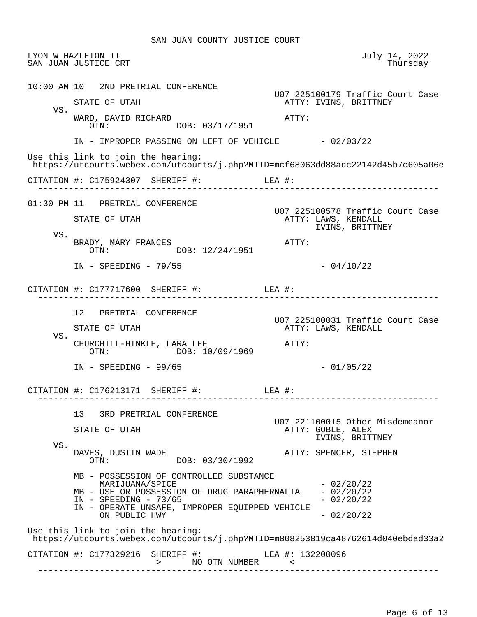LYON W HAZLETON II July 14, 2022 SAN JUAN JUSTICE CRT 10:00 AM 10 2ND PRETRIAL CONFERENCE U07 225100179 Traffic Court Case ATTY: IVINS, BRITTNEY VS. WARD, DAVID RICHARD<br>
OTN: DOB: 03/17/1951 DOB: 03/17/1951 IN - IMPROPER PASSING ON LEFT OF VEHICLE  $-02/03/22$  Use this link to join the hearing: https://utcourts.webex.com/utcourts/j.php?MTID=mcf68063dd88adc22142d45b7c605a06e CITATION #: C175924307 SHERIFF #: LEA #: ------------------------------------------------------------------------------ 01:30 PM 11 PRETRIAL CONFERENCE U07 225100578 Traffic Court Case ATTY: LAWS, KENDALL IVINS, BRITTNEY VS. BRADY, MARY FRANCES ATTY: OTN: DOB: 12/24/1951  $IN - SPEEDING - 79/55$  - 04/10/22 CITATION #: C177717600 SHERIFF #: LEA #: ------------------------------------------------------------------------------ 12 PRETRIAL CONFERENCE U07 225100031 Traffic Court Case ATTY: LAWS, KENDALL VS. CHURCHILL-HINKLE, LARA LEE ATTY: OTN: DOB: 10/09/1969 IN - SPEEDING - 99/65 - 2000 - 201/05/22 CITATION #: C176213171 SHERIFF #: LEA #: ------------------------------------------------------------------------------ 13 3RD PRETRIAL CONFERENCE U07 221100015 Other Misdemeanor ATTY: GOBLE, ALEX IVINS, BRITTNEY VS.<br>DAVES, DUSTIN WADE DAVES, DUSTIN WADE ATTY: SPENCER, STEPHEN DOB: 03/30/1992 MB - POSSESSION OF CONTROLLED SUBSTANCE  $MARIJUANA/SPICE$   $- 02/20/22$ MB - USE OR POSSESSION OF DRUG PARAPHERNALIA - 02/20/22  $IN - SPEEDING - 73/65$  - 02/20/22 IN - OPERATE UNSAFE, IMPROPER EQUIPPED VEHICLE ON PUBLIC HWY  $-02/20/22$  Use this link to join the hearing: https://utcourts.webex.com/utcourts/j.php?MTID=m808253819ca48762614d040ebdad33a2 CITATION #: C177329216 SHERIFF #: LEA #: 132200096 > NO OTN NUMBER < ------------------------------------------------------------------------------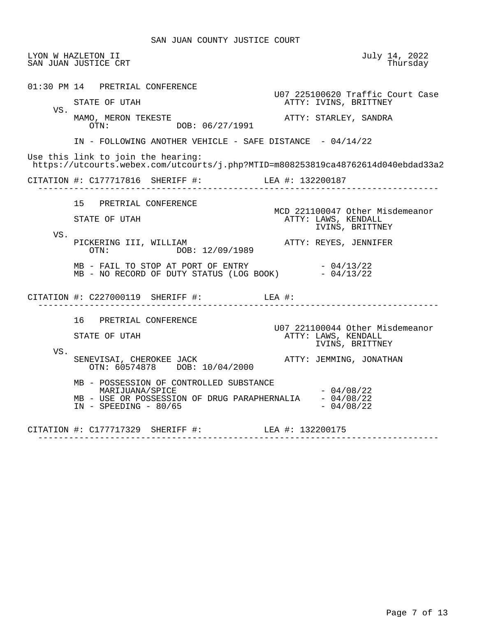SAN JUAN COUNTY JUSTICE COURT

 LYON W HAZLETON II July 14, 2022 SAN JUAN JUSTICE CRT 01:30 PM 14 PRETRIAL CONFERENCE U07 225100620 Traffic Court Case<br>
RTTY: IVINS, BRITTNEY ATTY: IVINS, BRITTNEY VS.<br>MAMO, MERON TEKESTE MAMO, MERON TEKESTE ATTY: STARLEY, SANDRA DOB: 06/27/1991 IN - FOLLOWING ANOTHER VEHICLE - SAFE DISTANCE - 04/14/22 Use this link to join the hearing: https://utcourts.webex.com/utcourts/j.php?MTID=m808253819ca48762614d040ebdad33a2 CITATION #: C177717816 SHERIFF #: LEA #: 132200187 ------------------------------------------------------------------------------ 15 PRETRIAL CONFERENCE MCD 221100047 Other Misdemeanor ATTY: LAWS, KENDALL IVINS, BRITTNEY VS. PICKERING III, WILLIAM **ATTY: REYES, JENNIFER**<br>OTN: DOB: 12/09/1989 DOB: 12/09/1989  $MB$  - FAIL TO STOP AT PORT OF ENTRY  $-04/13/22$  $MB - NO RECORD OF DUTY STATUS (LOG BOOK)  $- 04/13/22$$  CITATION #: C227000119 SHERIFF #: LEA #: ------------------------------------------------------------------------------ 16 PRETRIAL CONFERENCE U07 221100044 Other Misdemeanor ATTY: LAWS, KENDALL IVINS, BRITTNEY VS. SENEVISAI, CHEROKEE JACK ATTY: JEMMING, JONATHAN OTN: 60574878 DOB: 10/04/2000 MB - POSSESSION OF CONTROLLED SUBSTANCE  $MARIJUANA/SPICE$   $-04/08/22$ MB - USE OR POSSESSION OF DRUG PARAPHERNALIA  $-04/08/22$ <br>IN - SPEEDING -  $80/65$  $IN - SPEEDING - 80/65$  CITATION #: C177717329 SHERIFF #: LEA #: 132200175 ------------------------------------------------------------------------------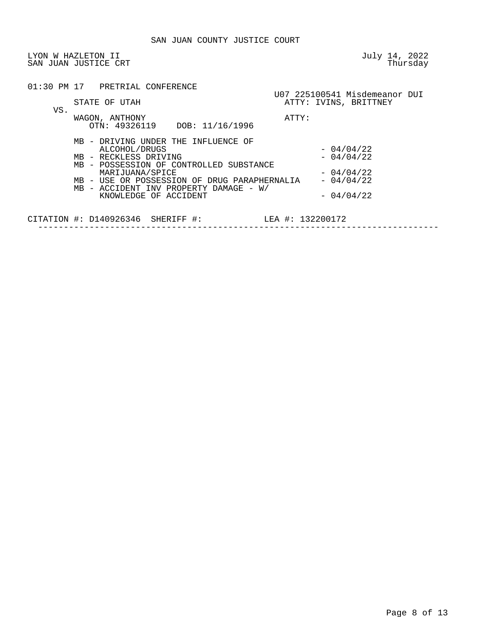|     | 01:30 PM 17 PRETRIAL CONFERENCE                                                        |                                                        |
|-----|----------------------------------------------------------------------------------------|--------------------------------------------------------|
|     | STATE OF UTAH                                                                          | U07 225100541 Misdemeanor DUI<br>ATTY: IVINS, BRITTNEY |
| VS. | WAGON, ANTHONY<br>OTN: 49326119 DOB: 11/16/1996                                        | ATTY:                                                  |
|     | MB - DRIVING UNDER THE INFLUENCE OF                                                    |                                                        |
|     | ALCOHOL/DRUGS                                                                          | $-04/04/22$                                            |
|     | MB - RECKLESS DRIVING                                                                  | $-04/04/22$                                            |
|     | MB - POSSESSION OF CONTROLLED SUBSTANCE                                                |                                                        |
|     | MARIJUANA/SPICE                                                                        | $-04/04/22$                                            |
|     | MB - USE OR POSSESSION OF DRUG PARAPHERNALIA<br>MB - ACCIDENT INV PROPERTY DAMAGE - W/ | $-04/04/22$                                            |
|     | KNOWLEDGE OF ACCIDENT                                                                  | $-04/04/22$                                            |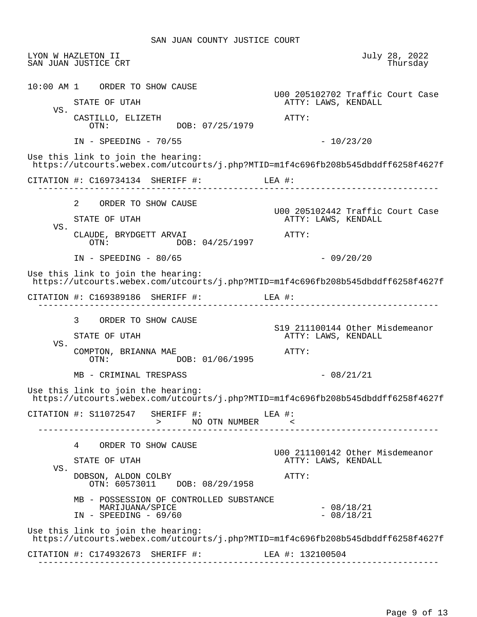LYON W HAZLETON II July 28, 2022 SAN JUAN JUSTICE CRT 10:00 AM 1 ORDER TO SHOW CAUSE U00 205102702 Traffic Court Case ATTY: LAWS, KENDALL VS. CASTILLO, ELIZETH ATTY: OTN: DOB: 07/25/1979 IN - SPEEDING - 70/55 - 10/23/20 Use this link to join the hearing: https://utcourts.webex.com/utcourts/j.php?MTID=m1f4c696fb208b545dbddff6258f4627f CITATION #: C169734134 SHERIFF #: LEA #: ------------------------------------------------------------------------------ 2 ORDER TO SHOW CAUSE U00 205102442 Traffic Court Case ATTY: LAWS, KENDALL VS. CLAUDE, BRYDGETT ARVAI  $OTN:$   $OB: 04/25/1997$  ATTY: DOB: 04/25/1997 IN - SPEEDING - 80/65 - 2000 - 2000 - 2010 - 2010 Use this link to join the hearing: https://utcourts.webex.com/utcourts/j.php?MTID=m1f4c696fb208b545dbddff6258f4627f CITATION #: C169389186 SHERIFF #: LEA #: ------------------------------------------------------------------------------ 3 ORDER TO SHOW CAUSE S19 211100144 Other Misdemeanor ATTY: LAWS, KENDALL VS. COMPTON, BRIANNA MAE ATTY: DOB: 01/06/1995  $MB - CRIMINAL TRESPASS$  - 08/21/21 Use this link to join the hearing: https://utcourts.webex.com/utcourts/j.php?MTID=m1f4c696fb208b545dbddff6258f4627f CITATION #: S11072547 SHERIFF #: LEA #: > NO OTN NUMBER < ------------------------------------------------------------------------------ 4 ORDER TO SHOW CAUSE U00 211100142 Other Misdemeanor ATTY: LAWS, KENDALL VS. DOBSON, ALDON COLBY ATTY: OTN: 60573011 DOB: 08/29/1958 MB - POSSESSION OF CONTROLLED SUBSTANCE MARIJUANA/SPICE - 08/18/21  $IN - SPEEDING - 69/60$  Use this link to join the hearing: https://utcourts.webex.com/utcourts/j.php?MTID=m1f4c696fb208b545dbddff6258f4627f CITATION #: C174932673 SHERIFF #: LEA #: 132100504 ------------------------------------------------------------------------------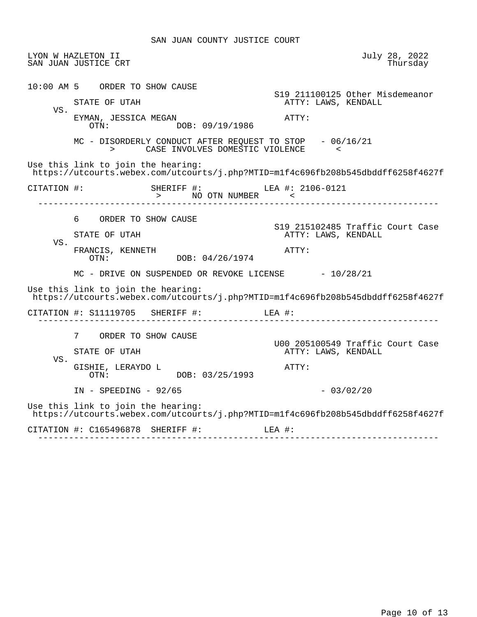|     | LYON W HAZLETON II<br>SAN JUAN JUSTICE CRT                                                                             | July 28, 2022<br>Thursday                               |
|-----|------------------------------------------------------------------------------------------------------------------------|---------------------------------------------------------|
|     | 10:00 AM 5 ORDER TO SHOW CAUSE                                                                                         | S19 211100125 Other Misdemeanor                         |
|     | STATE OF UTAH                                                                                                          | ATTY: LAWS, KENDALL                                     |
| VS. | EYMAN, JESSICA MEGAN<br>DOB: 09/19/1986<br>OTN:                                                                        | ATTY:                                                   |
|     | MC - DISORDERLY CONDUCT AFTER REQUEST TO STOP - 06/16/21<br>CASE INVOLVES DOMESTIC VIOLENCE                            |                                                         |
|     | Use this link to join the hearing:<br>https://utcourts.webex.com/utcourts/j.php?MTID=mlf4c696fb208b545dbddff6258f4627f |                                                         |
|     | CITATION #: SHERIFF #: LEA #: 2106-0121                                                                                |                                                         |
|     | 6 —<br>ORDER TO SHOW CAUSE                                                                                             |                                                         |
| VS. | STATE OF UTAH                                                                                                          | S19 215102485 Traffic Court Case<br>ATTY: LAWS, KENDALL |
|     | FRANCIS, KENNETH<br>OTN: DOB: 04/26/1974                                                                               | ATTY:                                                   |
|     | MC - DRIVE ON SUSPENDED OR REVOKE LICENSE $-10/28/21$                                                                  |                                                         |
|     | Use this link to join the hearing:<br>https://utcourts.webex.com/utcourts/j.php?MTID=mlf4c696fb208b545dbddff6258f4627f |                                                         |
|     | CITATION #: $S11119705$ SHERIFF #: LEA #:                                                                              |                                                         |
|     | 7 ORDER TO SHOW CAUSE                                                                                                  |                                                         |
|     | STATE OF UTAH                                                                                                          | U00 205100549 Traffic Court Case<br>ATTY: LAWS, KENDALL |
| VS. | GISHIE, LERAYDO L<br>DOB: 03/25/1993<br>OTN:                                                                           | ATTY:                                                   |
|     | $IN$ - SPEEDING - 92/65                                                                                                | $-03/02/20$                                             |
|     |                                                                                                                        |                                                         |
|     | Use this link to join the hearing:<br>https://utcourts.webex.com/utcourts/j.php?MTID=mlf4c696fb208b545dbddff6258f4627f |                                                         |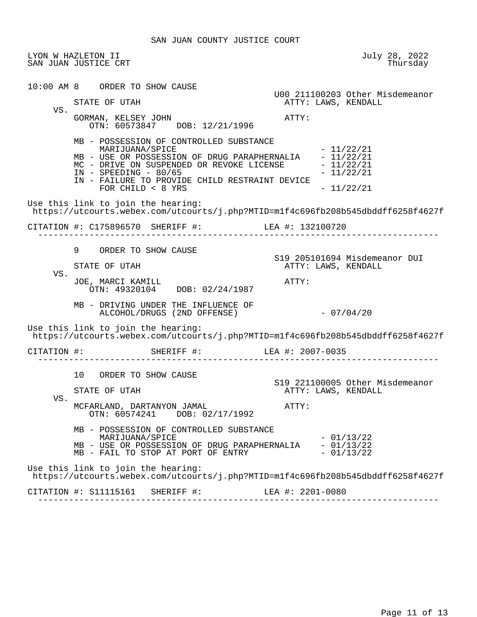LYON W HAZLETON II July 28, 2022 SAN JUAN JUSTICE CRT 10:00 AM 8 ORDER TO SHOW CAUSE U00 211100203 Other Misdemeanor STATE OF UTAH **ATTY: LAWS, KENDALL**  VS. GORMAN, KELSEY JOHN **ATTY:**  OTN: 60573847 DOB: 12/21/1996 MB - POSSESSION OF CONTROLLED SUBSTANCE MARIJUANA/SPICE  $-11/22/21$ MB - USE OR POSSESSION OF DRUG PARAPHERNALIA - 11/22/21<br>MC - DRIVE ON SUSPENDED OR REVOKE LICENSE - 11/22/21 MC - DRIVE ON SUSPENDED OR REVOKE LICENSE  $-11/22/21$ <br>IN - SPEEDING - 80/65  $IN - SPEEDING - 80/65$  IN - FAILURE TO PROVIDE CHILD RESTRAINT DEVICE  $FOR CHILD < 8 YRS$  -  $11/22/21$  Use this link to join the hearing: https://utcourts.webex.com/utcourts/j.php?MTID=m1f4c696fb208b545dbddff6258f4627f CITATION #: C175896570 SHERIFF #: LEA #: 132100720 ------------------------------------------------------------------------------ 9 ORDER TO SHOW CAUSE S19 205101694 Misdemeanor DUI ATTY: LAWS, KENDALL VS. JOE, MARCI KAMILL ATTY: OTN: 49320104 DOB: 02/24/1987 MB - DRIVING UNDER THE INFLUENCE OF ALCOHOL/DRUGS (2ND OFFENSE) - 07/04/20 Use this link to join the hearing: https://utcourts.webex.com/utcourts/j.php?MTID=m1f4c696fb208b545dbddff6258f4627f CITATION #: SHERIFF #: LEA #: 2007-0035 ------------------------------------------------------------------------------ 10 ORDER TO SHOW CAUSE S19 221100005 Other Misdemeanor ATTY: LAWS, KENDALL VS. MCFARLAND, DARTANYON JAMAL **ATTY:**  OTN: 60574241 DOB: 02/17/1992 MB - POSSESSION OF CONTROLLED SUBSTANCE  $\text{MARIJUANA}/\text{SPICE}$   $-01/13/22$ MB - USE OR POSSESSION OF DRUG PARAPHERNALIA - 01/13/22<br>MB - FAIL TO STOP AT PORT OF ENTRY - 01/13/22 MB - FAIL TO STOP AT PORT OF ENTRY Use this link to join the hearing: https://utcourts.webex.com/utcourts/j.php?MTID=m1f4c696fb208b545dbddff6258f4627f CITATION #: S11115161 SHERIFF #: LEA #: 2201-0080 ------------------------------------------------------------------------------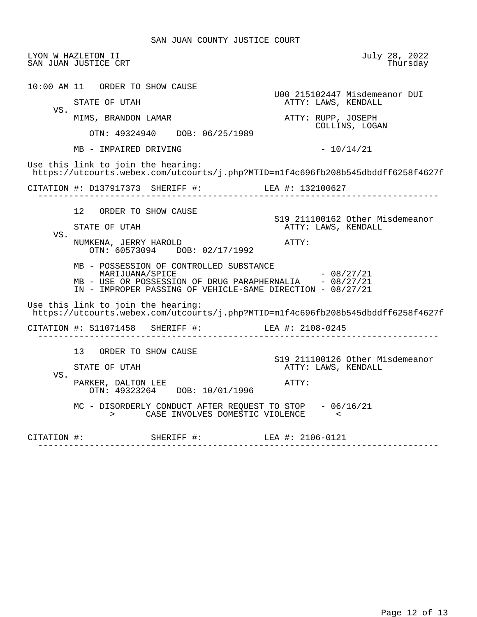|     | LYON W HAZLETON II<br>SAN JUAN JUSTICE CRT                                                                                                                                                                           | July 28, 2022<br>Thursday                                       |
|-----|----------------------------------------------------------------------------------------------------------------------------------------------------------------------------------------------------------------------|-----------------------------------------------------------------|
|     | 10:00 AM 11 ORDER TO SHOW CAUSE<br>STATE OF UTAH                                                                                                                                                                     | U00 215102447 Misdemeanor DUI<br>ATTY: LAWS, KENDALL            |
| VS. | MIMS, BRANDON LAMAR<br>OTN: 49324940 DOB: 06/25/1989                                                                                                                                                                 | ATTY: RUPP, JOSEPH<br>COLLINS, LOGAN                            |
|     | MB - IMPAIRED DRIVING                                                                                                                                                                                                | $-10/14/21$                                                     |
|     | Use this link to join the hearing:<br>https://utcourts.webex.com/utcourts/j.php?MTID=mlf4c696fb208b545dbddff6258f4627f                                                                                               |                                                                 |
|     | CITATION #: D137917373 SHERIFF #: LEA #: 132100627                                                                                                                                                                   |                                                                 |
| VS. | 12 ORDER TO SHOW CAUSE<br>STATE OF UTAH<br>NUMKENA, JERRY HAROLD                                                                                                                                                     | S19 211100162 Other Misdemeanor<br>ATTY: LAWS, KENDALL<br>ATTY: |
|     | OTN: 60573094 DOB: 02/17/1992<br>MB - POSSESSION OF CONTROLLED SUBSTANCE<br>MARIJUANA/SPICE<br>MB - USE OR POSSESSION OF DRUG PARAPHERNALIA - 08/27/21<br>IN - IMPROPER PASSING OF VEHICLE-SAME DIRECTION - 08/27/21 | $-08/27/21$                                                     |
|     |                                                                                                                                                                                                                      |                                                                 |
|     | Use this link to join the hearing:<br>https://utcourts.webex.com/utcourts/j.php?MTID=mlf4c696fb208b545dbddff6258f4627f                                                                                               |                                                                 |
|     | CITATION #: S11071458 SHERIFF #: LEA #: 2108-0245                                                                                                                                                                    |                                                                 |
|     | 13 ORDER TO SHOW CAUSE<br>STATE OF UTAH                                                                                                                                                                              | S19 211100126 Other Misdemeanor<br>ATTY: LAWS, KENDALL          |
| VS. | PARKER, DALTON LEE<br>OTN: 49323264 DOB: 10/01/1996                                                                                                                                                                  | ATTY:                                                           |
|     | MC - DISORDERLY CONDUCT AFTER REQUEST TO STOP - 06/16/21<br>> CASE INVOLVES DOMESTIC VIOLENCE                                                                                                                        |                                                                 |